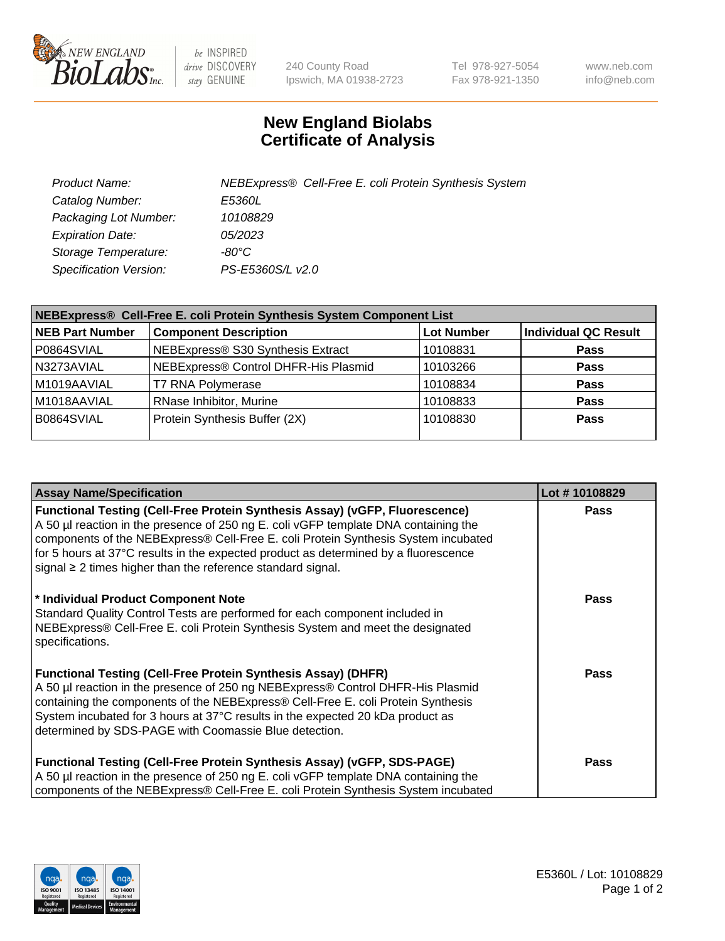

 $be$  INSPIRED drive DISCOVERY stay GENUINE

240 County Road Ipswich, MA 01938-2723 Tel 978-927-5054 Fax 978-921-1350 www.neb.com info@neb.com

## **New England Biolabs Certificate of Analysis**

| Product Name:           | NEBExpress® Cell-Free E. coli Protein Synthesis System |
|-------------------------|--------------------------------------------------------|
| Catalog Number:         | <i>E5360L</i>                                          |
| Packaging Lot Number:   | 10108829                                               |
| <b>Expiration Date:</b> | 05/2023                                                |
| Storage Temperature:    | -80°C.                                                 |
| Specification Version:  | PS-E5360S/L v2.0                                       |

| NEBExpress® Cell-Free E. coli Protein Synthesis System Component List |                                      |                   |                             |  |
|-----------------------------------------------------------------------|--------------------------------------|-------------------|-----------------------------|--|
| <b>NEB Part Number</b>                                                | <b>Component Description</b>         | <b>Lot Number</b> | <b>Individual QC Result</b> |  |
| P0864SVIAL                                                            | NEBExpress® S30 Synthesis Extract    | 10108831          | <b>Pass</b>                 |  |
| N3273AVIAL                                                            | NEBExpress® Control DHFR-His Plasmid | 10103266          | <b>Pass</b>                 |  |
| M1019AAVIAL                                                           | <b>T7 RNA Polymerase</b>             | 10108834          | <b>Pass</b>                 |  |
| M1018AAVIAL                                                           | RNase Inhibitor, Murine              | 10108833          | <b>Pass</b>                 |  |
| B0864SVIAL                                                            | Protein Synthesis Buffer (2X)        | 10108830          | <b>Pass</b>                 |  |
|                                                                       |                                      |                   |                             |  |

| <b>Assay Name/Specification</b>                                                                                                                                                                                                                                                                                                                                                                                            | Lot #10108829 |
|----------------------------------------------------------------------------------------------------------------------------------------------------------------------------------------------------------------------------------------------------------------------------------------------------------------------------------------------------------------------------------------------------------------------------|---------------|
| <b>Functional Testing (Cell-Free Protein Synthesis Assay) (vGFP, Fluorescence)</b><br>A 50 µl reaction in the presence of 250 ng E. coli vGFP template DNA containing the<br>components of the NEBExpress® Cell-Free E. coli Protein Synthesis System incubated<br>for 5 hours at 37°C results in the expected product as determined by a fluorescence<br>signal $\geq$ 2 times higher than the reference standard signal. | <b>Pass</b>   |
| * Individual Product Component Note<br>Standard Quality Control Tests are performed for each component included in<br>NEBExpress® Cell-Free E. coli Protein Synthesis System and meet the designated<br>specifications.                                                                                                                                                                                                    | Pass          |
| <b>Functional Testing (Cell-Free Protein Synthesis Assay) (DHFR)</b><br>A 50 µl reaction in the presence of 250 ng NEBExpress® Control DHFR-His Plasmid<br>containing the components of the NEBExpress® Cell-Free E. coli Protein Synthesis<br>System incubated for 3 hours at 37°C results in the expected 20 kDa product as<br>determined by SDS-PAGE with Coomassie Blue detection.                                     | Pass          |
| <b>Functional Testing (Cell-Free Protein Synthesis Assay) (vGFP, SDS-PAGE)</b><br>A 50 µl reaction in the presence of 250 ng E. coli vGFP template DNA containing the<br>components of the NEBExpress® Cell-Free E. coli Protein Synthesis System incubated                                                                                                                                                                | Pass          |